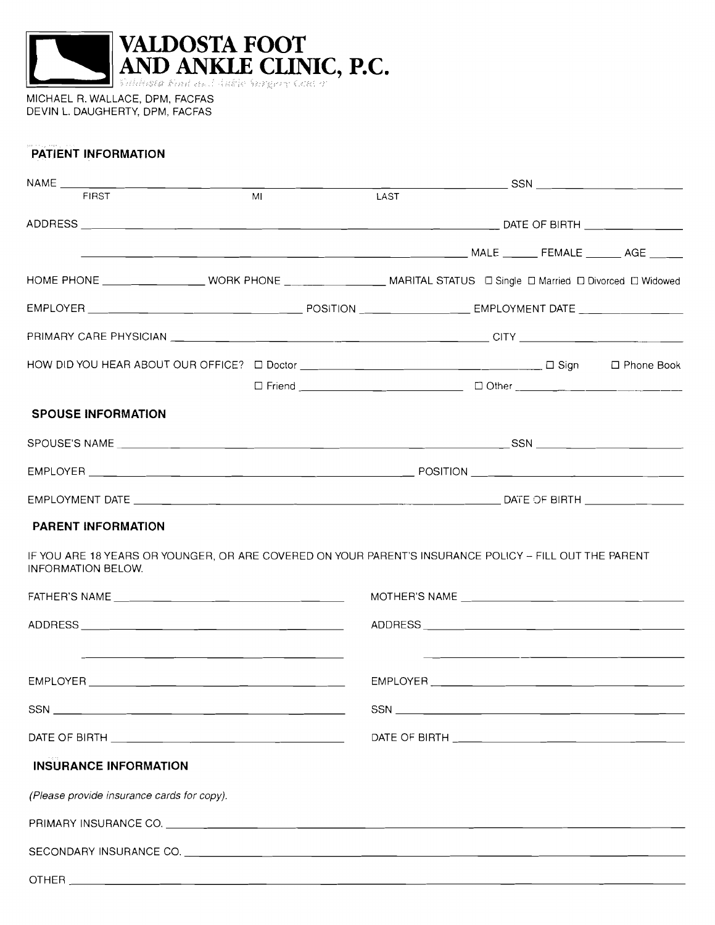

MICHAEL R. WALLACE, DPM, FACFAS DEVIN L. DAUGHERTY, DPM, FACFAS

### **PATIENT INFORMATION**

| $NAME$ ____________                        |    |                                                                                                                         |
|--------------------------------------------|----|-------------------------------------------------------------------------------------------------------------------------|
| <b>FIRST</b>                               | ML | LAST                                                                                                                    |
|                                            |    |                                                                                                                         |
|                                            |    |                                                                                                                         |
|                                            |    | HOME PHONE ____________________WORK PHONE _____________________MARITAL STATUS _ D Single D Married D Divorced D Widowed |
|                                            |    |                                                                                                                         |
|                                            |    |                                                                                                                         |
|                                            |    | □ Friend __________________________________ □ Other ____________________________                                        |
| <b>SPOUSE INFORMATION</b>                  |    |                                                                                                                         |
|                                            |    |                                                                                                                         |
|                                            |    |                                                                                                                         |
|                                            |    |                                                                                                                         |
| <b>PARENT INFORMATION</b>                  |    |                                                                                                                         |
| <b>INFORMATION BELOW.</b>                  |    | IF YOU ARE 18 YEARS OR YOUNGER, OR ARE COVERED ON YOUR PARENT'S INSURANCE POLICY - FILL OUT THE PARENT                  |
|                                            |    |                                                                                                                         |
|                                            |    |                                                                                                                         |
|                                            |    | <u> 1980 - Jan Barbara Barbara, mandat bashkar a shekara tsh</u>                                                        |
|                                            |    |                                                                                                                         |
|                                            |    |                                                                                                                         |
|                                            |    |                                                                                                                         |
| <b>INSURANCE INFORMATION</b>               |    |                                                                                                                         |
| (Please provide insurance cards for copy). |    |                                                                                                                         |
|                                            |    |                                                                                                                         |
|                                            |    |                                                                                                                         |
| <b>OTHER</b>                               |    |                                                                                                                         |